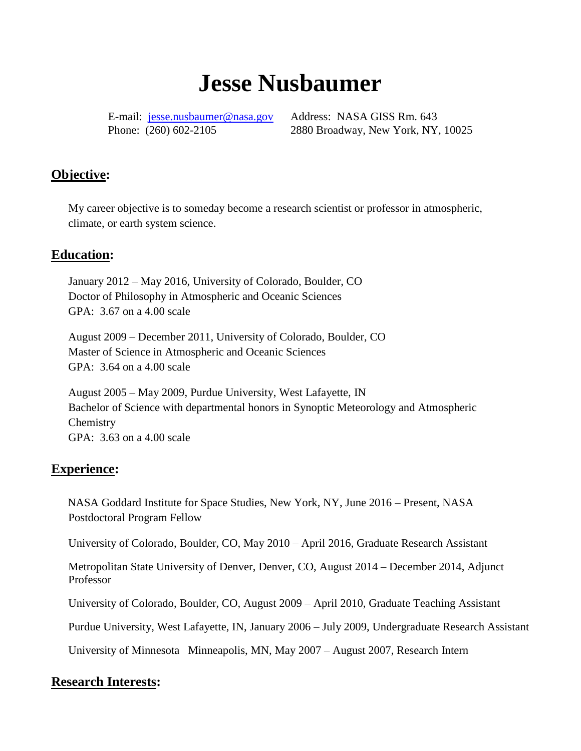# **Jesse Nusbaumer**

E-mail: [jesse.nusbaumer@nasa.gov](mailto:jesse.nusbaumer@nasa.gov) Address: NASA GISS Rm. 643

Phone: (260) 602-2105 2880 Broadway, New York, NY, 10025

## **Objective:**

My career objective is to someday become a research scientist or professor in atmospheric, climate, or earth system science.

## **Education:**

January 2012 – May 2016, University of Colorado, Boulder, CO Doctor of Philosophy in Atmospheric and Oceanic Sciences GPA: 3.67 on a 4.00 scale

August 2009 – December 2011, University of Colorado, Boulder, CO Master of Science in Atmospheric and Oceanic Sciences GPA: 3.64 on a 4.00 scale

August 2005 – May 2009, Purdue University, West Lafayette, IN Bachelor of Science with departmental honors in Synoptic Meteorology and Atmospheric **Chemistry** GPA: 3.63 on a 4.00 scale

#### **Experience:**

NASA Goddard Institute for Space Studies, New York, NY, June 2016 – Present, NASA Postdoctoral Program Fellow

University of Colorado, Boulder, CO, May 2010 – April 2016, Graduate Research Assistant

Metropolitan State University of Denver, Denver, CO, August 2014 – December 2014, Adjunct Professor

University of Colorado, Boulder, CO, August 2009 – April 2010, Graduate Teaching Assistant

Purdue University, West Lafayette, IN, January 2006 – July 2009, Undergraduate Research Assistant

University of Minnesota Minneapolis, MN, May 2007 – August 2007, Research Intern

#### **Research Interests:**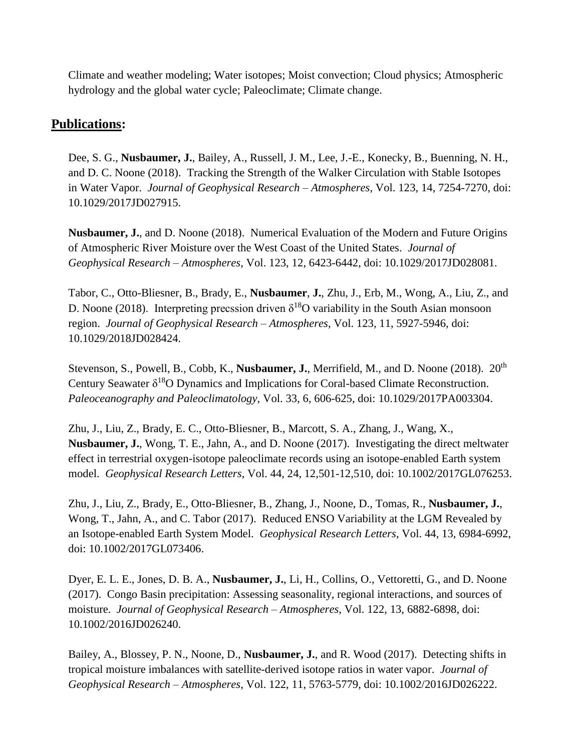Climate and weather modeling; Water isotopes; Moist convection; Cloud physics; Atmospheric hydrology and the global water cycle; Paleoclimate; Climate change.

# **Publications:**

Dee, S. G., **Nusbaumer, J.**, Bailey, A., Russell, J. M., Lee, J.-E., Konecky, B., Buenning, N. H., and D. C. Noone (2018). Tracking the Strength of the Walker Circulation with Stable Isotopes in Water Vapor. *Journal of Geophysical Research – Atmospheres*, Vol. 123, 14, 7254-7270, doi: 10.1029/2017JD027915.

**Nusbaumer, J.**, and D. Noone (2018). Numerical Evaluation of the Modern and Future Origins of Atmospheric River Moisture over the West Coast of the United States. *Journal of Geophysical Research – Atmospheres*, Vol. 123, 12, 6423-6442, doi: 10.1029/2017JD028081.

Tabor, C., Otto-Bliesner, B., Brady, E., **Nusbaumer**, **J.**, Zhu, J., Erb, M., Wong, A., Liu, Z., and D. Noone (2018). Interpreting precssion driven  $\delta^{18}$ O variability in the South Asian monsoon region. *Journal of Geophysical Research – Atmospheres*, Vol. 123, 11, 5927-5946, doi: 10.1029/2018JD028424.

Stevenson, S., Powell, B., Cobb, K., **Nusbaumer, J.**, Merrifield, M., and D. Noone (2018). 20th Century Seawater  $\delta^{18}O$  Dynamics and Implications for Coral-based Climate Reconstruction. *Paleoceanography and Paleoclimatology*, Vol. 33, 6, 606-625, doi: 10.1029/2017PA003304.

Zhu, J., Liu, Z., Brady, E. C., Otto-Bliesner, B., Marcott, S. A., Zhang, J., Wang, X., **Nusbaumer, J.**, Wong, T. E., Jahn, A., and D. Noone (2017). Investigating the direct meltwater effect in terrestrial oxygen-isotope paleoclimate records using an isotope-enabled Earth system model. *Geophysical Research Letters*, Vol. 44, 24, 12,501-12,510, doi: 10.1002/2017GL076253.

Zhu, J., Liu, Z., Brady, E., Otto-Bliesner, B., Zhang, J., Noone, D., Tomas, R., **Nusbaumer, J.**, Wong, T., Jahn, A., and C. Tabor (2017). Reduced ENSO Variability at the LGM Revealed by an Isotope-enabled Earth System Model. *Geophysical Research Letters*, Vol. 44, 13, 6984-6992, doi: 10.1002/2017GL073406.

Dyer, E. L. E., Jones, D. B. A., **Nusbaumer, J.**, Li, H., Collins, O., Vettoretti, G., and D. Noone (2017). Congo Basin precipitation: Assessing seasonality, regional interactions, and sources of moisture. *Journal of Geophysical Research – Atmospheres*, Vol. 122, 13, 6882-6898, doi: 10.1002/2016JD026240.

Bailey, A., Blossey, P. N., Noone, D., **Nusbaumer, J.**, and R. Wood (2017). Detecting shifts in tropical moisture imbalances with satellite-derived isotope ratios in water vapor. *Journal of Geophysical Research – Atmospheres*, Vol. 122, 11, 5763-5779, doi: 10.1002/2016JD026222.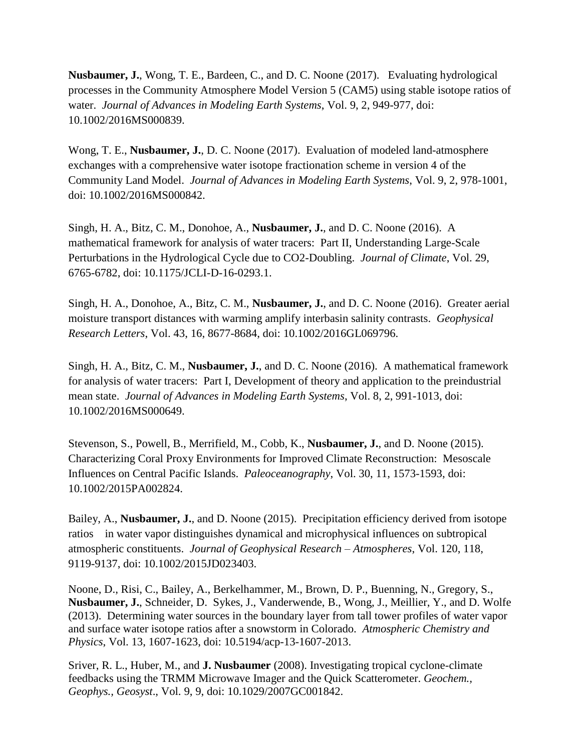**Nusbaumer, J.**, Wong, T. E., Bardeen, C., and D. C. Noone (2017). Evaluating hydrological processes in the Community Atmosphere Model Version 5 (CAM5) using stable isotope ratios of water. *Journal of Advances in Modeling Earth Systems*, Vol. 9, 2, 949-977, doi: 10.1002/2016MS000839.

Wong, T. E., **Nusbaumer, J.**, D. C. Noone (2017). Evaluation of modeled land-atmosphere exchanges with a comprehensive water isotope fractionation scheme in version 4 of the Community Land Model. *Journal of Advances in Modeling Earth Systems*, Vol. 9, 2, 978-1001, doi: 10.1002/2016MS000842.

Singh, H. A., Bitz, C. M., Donohoe, A., **Nusbaumer, J.**, and D. C. Noone (2016). A mathematical framework for analysis of water tracers: Part II, Understanding Large-Scale Perturbations in the Hydrological Cycle due to CO2-Doubling. *Journal of Climate*, Vol. 29, 6765-6782, doi: 10.1175/JCLI-D-16-0293.1.

Singh, H. A., Donohoe, A., Bitz, C. M., **Nusbaumer, J.**, and D. C. Noone (2016). Greater aerial moisture transport distances with warming amplify interbasin salinity contrasts. *Geophysical Research Letters*, Vol. 43, 16, 8677-8684, doi: 10.1002/2016GL069796.

Singh, H. A., Bitz, C. M., **Nusbaumer, J.**, and D. C. Noone (2016). A mathematical framework for analysis of water tracers: Part I, Development of theory and application to the preindustrial mean state. *Journal of Advances in Modeling Earth Systems*, Vol. 8, 2, 991-1013, doi: 10.1002/2016MS000649.

Stevenson, S., Powell, B., Merrifield, M., Cobb, K., **Nusbaumer, J.**, and D. Noone (2015). Characterizing Coral Proxy Environments for Improved Climate Reconstruction: Mesoscale Influences on Central Pacific Islands. *Paleoceanography*, Vol. 30, 11, 1573-1593, doi: 10.1002/2015PA002824.

Bailey, A., **Nusbaumer, J.**, and D. Noone (2015). Precipitation efficiency derived from isotope ratios in water vapor distinguishes dynamical and microphysical influences on subtropical atmospheric constituents. *Journal of Geophysical Research – Atmospheres*, Vol. 120, 118, 9119-9137, doi: 10.1002/2015JD023403.

Noone, D., Risi, C., Bailey, A., Berkelhammer, M., Brown, D. P., Buenning, N., Gregory, S., **Nusbaumer, J.**, Schneider, D. Sykes, J., Vanderwende, B., Wong, J., Meillier, Y., and D. Wolfe (2013). Determining water sources in the boundary layer from tall tower profiles of water vapor and surface water isotope ratios after a snowstorm in Colorado. *Atmospheric Chemistry and Physics*, Vol. 13, 1607-1623, doi: 10.5194/acp-13-1607-2013.

Sriver, R. L., Huber, M., and **J. Nusbaumer** (2008). Investigating tropical cyclone-climate feedbacks using the TRMM Microwave Imager and the Quick Scatterometer. *Geochem., Geophys., Geosyst*., Vol. 9, 9, doi: 10.1029/2007GC001842.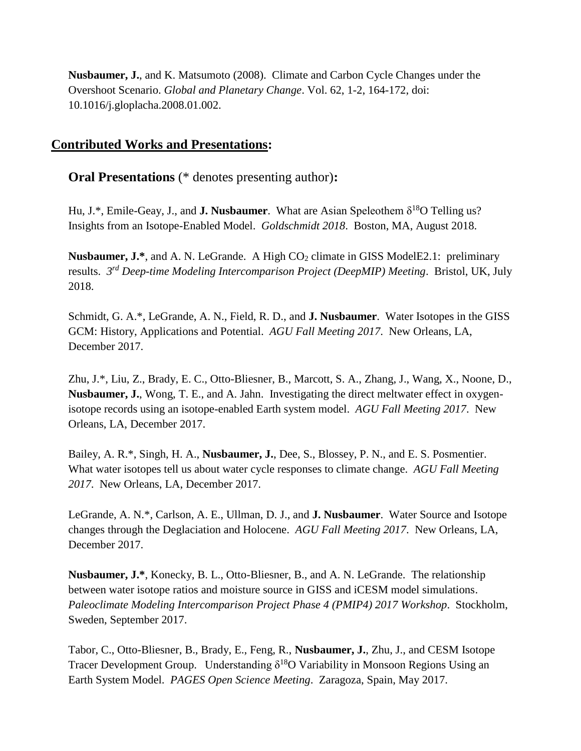**Nusbaumer, J.**, and K. Matsumoto (2008). Climate and Carbon Cycle Changes under the Overshoot Scenario. *Global and Planetary Change*. Vol. 62, 1-2, 164-172, doi: 10.1016/j.gloplacha.2008.01.002.

# **Contributed Works and Presentations:**

**Oral Presentations** (\* denotes presenting author)**:**

Hu, J.\*, Emile-Geay, J., and **J. Nusbaumer**. What are Asian Speleothem  $\delta^{18}O$  Telling us? Insights from an Isotope-Enabled Model. *Goldschmidt 2018*. Boston, MA, August 2018.

**Nusbaumer, J.\***, and A. N. LeGrande. A High CO<sub>2</sub> climate in GISS ModelE2.1: preliminary results. *3 rd Deep-time Modeling Intercomparison Project (DeepMIP) Meeting*. Bristol, UK, July 2018.

Schmidt, G. A.\*, LeGrande, A. N., Field, R. D., and **J. Nusbaumer**. Water Isotopes in the GISS GCM: History, Applications and Potential. *AGU Fall Meeting 2017*. New Orleans, LA, December 2017.

Zhu, J.\*, Liu, Z., Brady, E. C., Otto-Bliesner, B., Marcott, S. A., Zhang, J., Wang, X., Noone, D., **Nusbaumer, J.**, Wong, T. E., and A. Jahn. Investigating the direct meltwater effect in oxygenisotope records using an isotope-enabled Earth system model. *AGU Fall Meeting 2017*. New Orleans, LA, December 2017.

Bailey, A. R.\*, Singh, H. A., **Nusbaumer, J.**, Dee, S., Blossey, P. N., and E. S. Posmentier. What water isotopes tell us about water cycle responses to climate change. *AGU Fall Meeting 2017*. New Orleans, LA, December 2017.

LeGrande, A. N.\*, Carlson, A. E., Ullman, D. J., and **J. Nusbaumer**. Water Source and Isotope changes through the Deglaciation and Holocene. *AGU Fall Meeting 2017*. New Orleans, LA, December 2017.

**Nusbaumer, J.\***, Konecky, B. L., Otto-Bliesner, B., and A. N. LeGrande. The relationship between water isotope ratios and moisture source in GISS and iCESM model simulations. *Paleoclimate Modeling Intercomparison Project Phase 4 (PMIP4) 2017 Workshop*. Stockholm, Sweden, September 2017.

Tabor, C., Otto-Bliesner, B., Brady, E., Feng, R., **Nusbaumer, J.**, Zhu, J., and CESM Isotope Tracer Development Group. Understanding  $\delta^{18}O$  Variability in Monsoon Regions Using an Earth System Model. *PAGES Open Science Meeting*. Zaragoza, Spain, May 2017.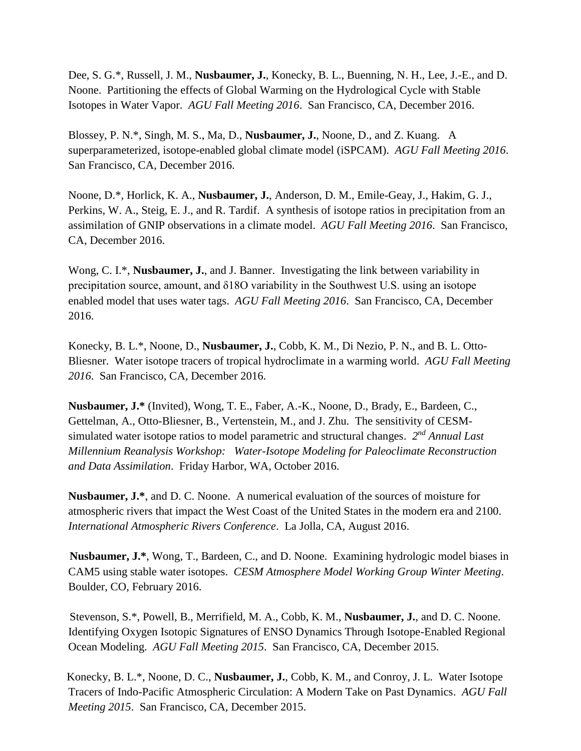Dee, S. G.\*, Russell, J. M., **Nusbaumer, J.**, Konecky, B. L., Buenning, N. H., Lee, J.-E., and D. Noone. Partitioning the effects of Global Warming on the Hydrological Cycle with Stable Isotopes in Water Vapor. *AGU Fall Meeting 2016*. San Francisco, CA, December 2016.

Blossey, P. N.\*, Singh, M. S., Ma, D., **Nusbaumer, J.**, Noone, D., and Z. Kuang. A superparameterized, isotope-enabled global climate model (iSPCAM). *AGU Fall Meeting 2016*. San Francisco, CA, December 2016.

Noone, D.\*, Horlick, K. A., **Nusbaumer, J.**, Anderson, D. M., Emile-Geay, J., Hakim, G. J., Perkins, W. A., Steig, E. J., and R. Tardif. A synthesis of isotope ratios in precipitation from an assimilation of GNIP observations in a climate model. *AGU Fall Meeting 2016*. San Francisco, CA, December 2016.

Wong, C. I.\*, **Nusbaumer, J.**, and J. Banner. Investigating the link between variability in precipitation source, amount, and δ18O variability in the Southwest U.S. using an isotope enabled model that uses water tags. *AGU Fall Meeting 2016*. San Francisco, CA, December 2016.

Konecky, B. L.\*, Noone, D., **Nusbaumer, J.**, Cobb, K. M., Di Nezio, P. N., and B. L. Otto-Bliesner. Water isotope tracers of tropical hydroclimate in a warming world. *AGU Fall Meeting 2016*. San Francisco, CA, December 2016.

**Nusbaumer, J.\*** (Invited), Wong, T. E., Faber, A.-K., Noone, D., Brady, E., Bardeen, C., Gettelman, A., Otto-Bliesner, B., Vertenstein, M., and J. Zhu. The sensitivity of CESMsimulated water isotope ratios to model parametric and structural changes. 2<sup>nd</sup> Annual Last *Millennium Reanalysis Workshop: Water-Isotope Modeling for Paleoclimate Reconstruction and Data Assimilation*. Friday Harbor, WA, October 2016.

 **Nusbaumer, J.\***, and D. C. Noone. A numerical evaluation of the sources of moisture for atmospheric rivers that impact the West Coast of the United States in the modern era and 2100. *International Atmospheric Rivers Conference*. La Jolla, CA, August 2016.

 **Nusbaumer, J.\***, Wong, T., Bardeen, C., and D. Noone. Examining hydrologic model biases in CAM5 using stable water isotopes. *CESM Atmosphere Model Working Group Winter Meeting*. Boulder, CO, February 2016.

 Stevenson, S.\*, Powell, B., Merrifield, M. A., Cobb, K. M., **Nusbaumer, J.**, and D. C. Noone. Identifying Oxygen Isotopic Signatures of ENSO Dynamics Through Isotope-Enabled Regional Ocean Modeling. *AGU Fall Meeting 2015*. San Francisco, CA, December 2015.

Konecky, B. L.\*, Noone, D. C., **Nusbaumer, J.**, Cobb, K. M., and Conroy, J. L. Water Isotope Tracers of Indo-Pacific Atmospheric Circulation: A Modern Take on Past Dynamics. *AGU Fall Meeting 2015*. San Francisco, CA, December 2015.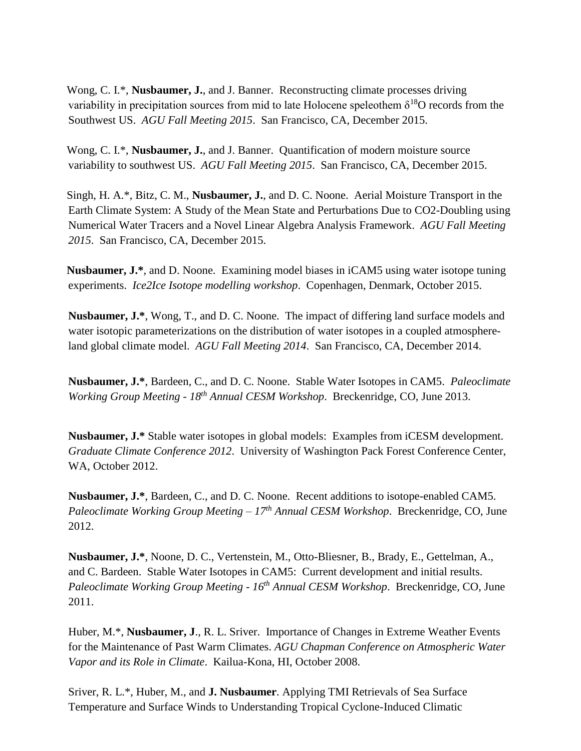Wong, C. I.\*, **Nusbaumer, J.**, and J. Banner. Reconstructing climate processes driving variability in precipitation sources from mid to late Holocene speleothem  $\delta^{18}O$  records from the Southwest US. *AGU Fall Meeting 2015*. San Francisco, CA, December 2015.

Wong, C. I.\*, **Nusbaumer, J.**, and J. Banner. Quantification of modern moisture source variability to southwest US. *AGU Fall Meeting 2015*. San Francisco, CA, December 2015.

Singh, H. A.\*, Bitz, C. M., **Nusbaumer, J.**, and D. C. Noone. Aerial Moisture Transport in the Earth Climate System: A Study of the Mean State and Perturbations Due to CO2-Doubling using Numerical Water Tracers and a Novel Linear Algebra Analysis Framework. *AGU Fall Meeting 2015*. San Francisco, CA, December 2015.

**Nusbaumer, J.\***, and D. Noone. Examining model biases in iCAM5 using water isotope tuning experiments. *Ice2Ice Isotope modelling workshop*. Copenhagen, Denmark, October 2015.

**Nusbaumer, J.\***, Wong, T., and D. C. Noone. The impact of differing land surface models and water isotopic parameterizations on the distribution of water isotopes in a coupled atmosphereland global climate model. *AGU Fall Meeting 2014*. San Francisco, CA, December 2014.

**Nusbaumer, J.\***, Bardeen, C., and D. C. Noone. Stable Water Isotopes in CAM5. *Paleoclimate Working Group Meeting - 18th Annual CESM Workshop*. Breckenridge, CO, June 2013.

**Nusbaumer, J.\*** Stable water isotopes in global models: Examples from iCESM development. *Graduate Climate Conference 2012*. University of Washington Pack Forest Conference Center, WA, October 2012.

**Nusbaumer, J.\***, Bardeen, C., and D. C. Noone. Recent additions to isotope-enabled CAM5. *Paleoclimate Working Group Meeting – 17th Annual CESM Workshop*. Breckenridge, CO, June 2012.

**Nusbaumer, J.\***, Noone, D. C., Vertenstein, M., Otto-Bliesner, B., Brady, E., Gettelman, A., and C. Bardeen. Stable Water Isotopes in CAM5: Current development and initial results. *Paleoclimate Working Group Meeting - 16th Annual CESM Workshop*. Breckenridge, CO, June 2011.

Huber, M.\*, **Nusbaumer, J**., R. L. Sriver. Importance of Changes in Extreme Weather Events for the Maintenance of Past Warm Climates. *AGU Chapman Conference on Atmospheric Water Vapor and its Role in Climate*. Kailua-Kona, HI, October 2008.

Sriver, R. L.\*, Huber, M., and **J. Nusbaumer**. Applying TMI Retrievals of Sea Surface Temperature and Surface Winds to Understanding Tropical Cyclone-Induced Climatic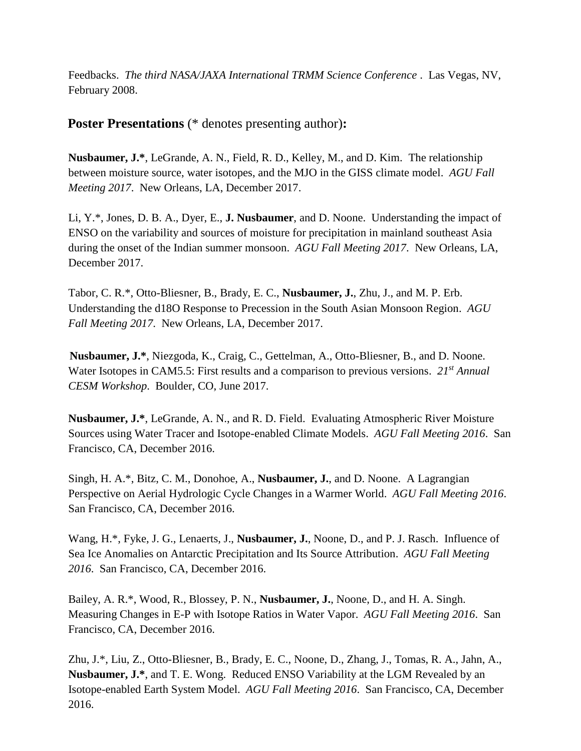Feedbacks. *The third NASA/JAXA International TRMM Science Conference* . Las Vegas, NV, February 2008.

 **Poster Presentations** (\* denotes presenting author)**:**

**Nusbaumer, J.\***, LeGrande, A. N., Field, R. D., Kelley, M., and D. Kim. The relationship between moisture source, water isotopes, and the MJO in the GISS climate model. *AGU Fall Meeting 2017*. New Orleans, LA, December 2017.

Li, Y.\*, Jones, D. B. A., Dyer, E., **J. Nusbaumer**, and D. Noone. Understanding the impact of ENSO on the variability and sources of moisture for precipitation in mainland southeast Asia during the onset of the Indian summer monsoon. *AGU Fall Meeting 2017*. New Orleans, LA, December 2017.

Tabor, C. R.\*, Otto-Bliesner, B., Brady, E. C., **Nusbaumer, J.**, Zhu, J., and M. P. Erb. Understanding the d18O Response to Precession in the South Asian Monsoon Region. *AGU Fall Meeting 2017*. New Orleans, LA, December 2017.

 **Nusbaumer, J.\***, Niezgoda, K., Craig, C., Gettelman, A., Otto-Bliesner, B., and D. Noone. Water Isotopes in CAM5.5: First results and a comparison to previous versions. *21st Annual CESM Workshop*. Boulder, CO, June 2017.

**Nusbaumer, J.\***, LeGrande, A. N., and R. D. Field. Evaluating Atmospheric River Moisture Sources using Water Tracer and Isotope-enabled Climate Models. *AGU Fall Meeting 2016*. San Francisco, CA, December 2016.

Singh, H. A.\*, Bitz, C. M., Donohoe, A., **Nusbaumer, J.**, and D. Noone. A Lagrangian Perspective on Aerial Hydrologic Cycle Changes in a Warmer World. *AGU Fall Meeting 2016*. San Francisco, CA, December 2016.

Wang, H.\*, Fyke, J. G., Lenaerts, J., **Nusbaumer, J.**, Noone, D., and P. J. Rasch. Influence of Sea Ice Anomalies on Antarctic Precipitation and Its Source Attribution. *AGU Fall Meeting 2016*. San Francisco, CA, December 2016.

Bailey, A. R.\*, Wood, R., Blossey, P. N., **Nusbaumer, J.**, Noone, D., and H. A. Singh. Measuring Changes in E-P with Isotope Ratios in Water Vapor. *AGU Fall Meeting 2016*. San Francisco, CA, December 2016.

Zhu, J.\*, Liu, Z., Otto-Bliesner, B., Brady, E. C., Noone, D., Zhang, J., Tomas, R. A., Jahn, A., **Nusbaumer, J.\***, and T. E. Wong. Reduced ENSO Variability at the LGM Revealed by an Isotope-enabled Earth System Model. *AGU Fall Meeting 2016*. San Francisco, CA, December 2016.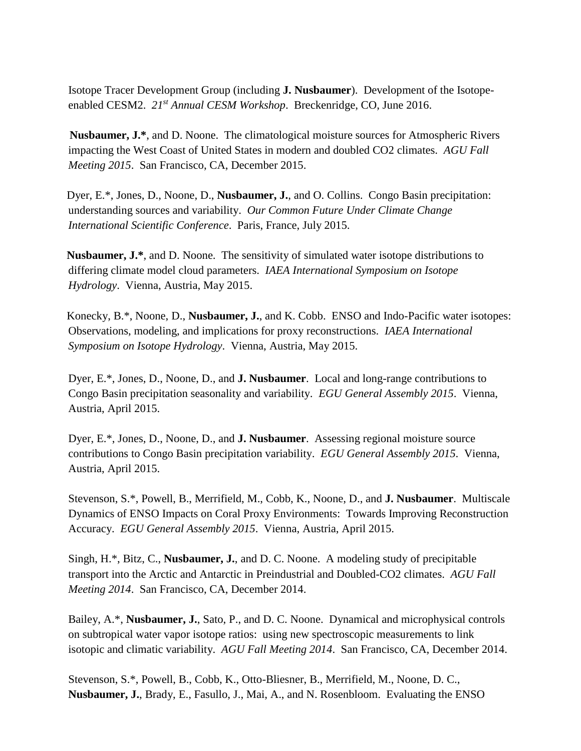Isotope Tracer Development Group (including **J. Nusbaumer**). Development of the Isotopeenabled CESM2. *21st Annual CESM Workshop*. Breckenridge, CO, June 2016.

 **Nusbaumer, J.\***, and D. Noone. The climatological moisture sources for Atmospheric Rivers impacting the West Coast of United States in modern and doubled CO2 climates. *AGU Fall Meeting 2015*. San Francisco, CA, December 2015.

Dyer, E.\*, Jones, D., Noone, D., **Nusbaumer, J.**, and O. Collins. Congo Basin precipitation: understanding sources and variability. *Our Common Future Under Climate Change International Scientific Conference*. Paris, France, July 2015.

**Nusbaumer, J.\***, and D. Noone. The sensitivity of simulated water isotope distributions to differing climate model cloud parameters. *IAEA International Symposium on Isotope Hydrology*. Vienna, Austria, May 2015.

Konecky, B.\*, Noone, D., **Nusbaumer, J.**, and K. Cobb. ENSO and Indo-Pacific water isotopes: Observations, modeling, and implications for proxy reconstructions. *IAEA International Symposium on Isotope Hydrology*. Vienna, Austria, May 2015.

Dyer, E.\*, Jones, D., Noone, D., and **J. Nusbaumer**. Local and long-range contributions to Congo Basin precipitation seasonality and variability. *EGU General Assembly 2015*. Vienna, Austria, April 2015.

Dyer, E.\*, Jones, D., Noone, D., and **J. Nusbaumer**. Assessing regional moisture source contributions to Congo Basin precipitation variability. *EGU General Assembly 2015*. Vienna, Austria, April 2015.

Stevenson, S.\*, Powell, B., Merrifield, M., Cobb, K., Noone, D., and **J. Nusbaumer**. Multiscale Dynamics of ENSO Impacts on Coral Proxy Environments: Towards Improving Reconstruction Accuracy. *EGU General Assembly 2015*. Vienna, Austria, April 2015.

Singh, H.\*, Bitz, C., **Nusbaumer, J.**, and D. C. Noone. A modeling study of precipitable transport into the Arctic and Antarctic in Preindustrial and Doubled-CO2 climates. *AGU Fall Meeting 2014*. San Francisco, CA, December 2014.

Bailey, A.\*, **Nusbaumer, J.**, Sato, P., and D. C. Noone. Dynamical and microphysical controls on subtropical water vapor isotope ratios: using new spectroscopic measurements to link isotopic and climatic variability. *AGU Fall Meeting 2014*. San Francisco, CA, December 2014.

Stevenson, S.\*, Powell, B., Cobb, K., Otto-Bliesner, B., Merrifield, M., Noone, D. C., **Nusbaumer, J.**, Brady, E., Fasullo, J., Mai, A., and N. Rosenbloom. Evaluating the ENSO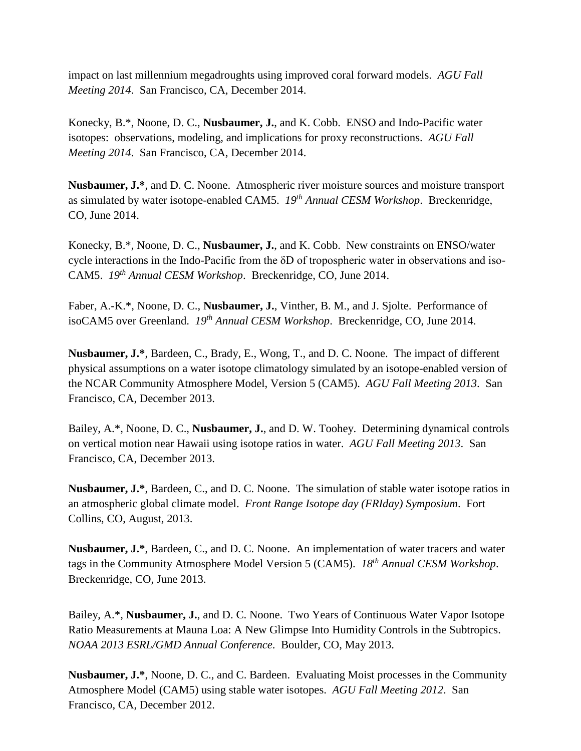impact on last millennium megadroughts using improved coral forward models. *AGU Fall Meeting 2014*. San Francisco, CA, December 2014.

Konecky, B.\*, Noone, D. C., **Nusbaumer, J.**, and K. Cobb. ENSO and Indo-Pacific water isotopes: observations, modeling, and implications for proxy reconstructions. *AGU Fall Meeting 2014*. San Francisco, CA, December 2014.

**Nusbaumer, J.\***, and D. C. Noone. Atmospheric river moisture sources and moisture transport as simulated by water isotope-enabled CAM5. *19th Annual CESM Workshop*. Breckenridge, CO, June 2014.

Konecky, B.\*, Noone, D. C., **Nusbaumer, J.**, and K. Cobb. New constraints on ENSO/water cycle interactions in the Indo-Pacific from the δD of tropospheric water in observations and iso-CAM5. *19th Annual CESM Workshop*. Breckenridge, CO, June 2014.

Faber, A.-K.\*, Noone, D. C., **Nusbaumer, J.**, Vinther, B. M., and J. Sjolte. Performance of isoCAM5 over Greenland. *19th Annual CESM Workshop*. Breckenridge, CO, June 2014.

**Nusbaumer, J.\***, Bardeen, C., Brady, E., Wong, T., and D. C. Noone. The impact of different physical assumptions on a water isotope climatology simulated by an isotope-enabled version of the NCAR Community Atmosphere Model, Version 5 (CAM5). *AGU Fall Meeting 2013*. San Francisco, CA, December 2013.

Bailey, A.\*, Noone, D. C., **Nusbaumer, J.**, and D. W. Toohey. Determining dynamical controls on vertical motion near Hawaii using isotope ratios in water. *AGU Fall Meeting 2013*. San Francisco, CA, December 2013.

**Nusbaumer, J.\***, Bardeen, C., and D. C. Noone. The simulation of stable water isotope ratios in an atmospheric global climate model. *Front Range Isotope day (FRIday) Symposium*. Fort Collins, CO, August, 2013.

**Nusbaumer, J.\***, Bardeen, C., and D. C. Noone. An implementation of water tracers and water tags in the Community Atmosphere Model Version 5 (CAM5). *18th Annual CESM Workshop*. Breckenridge, CO, June 2013.

Bailey, A.\*, **Nusbaumer, J.**, and D. C. Noone. Two Years of Continuous Water Vapor Isotope Ratio Measurements at Mauna Loa: A New Glimpse Into Humidity Controls in the Subtropics. *NOAA 2013 ESRL/GMD Annual Conference*. Boulder, CO, May 2013.

**Nusbaumer, J.\***, Noone, D. C., and C. Bardeen. Evaluating Moist processes in the Community Atmosphere Model (CAM5) using stable water isotopes. *AGU Fall Meeting 2012*. San Francisco, CA, December 2012.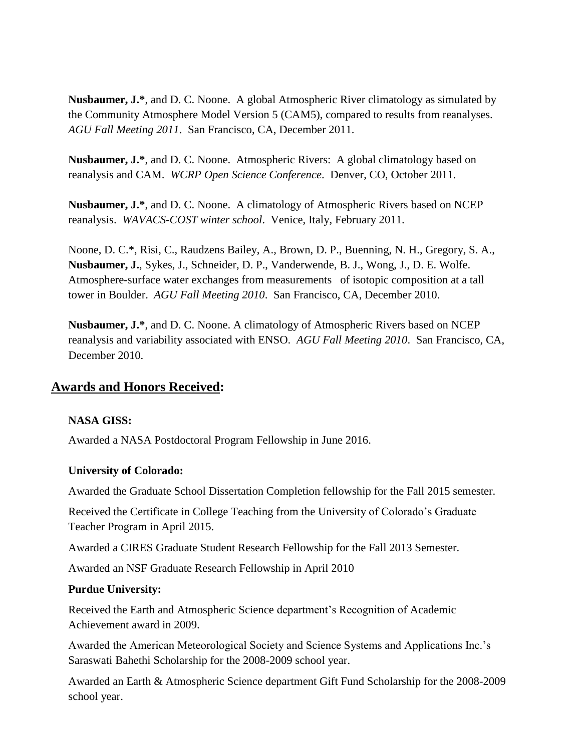**Nusbaumer, J.\***, and D. C. Noone. A global Atmospheric River climatology as simulated by the Community Atmosphere Model Version 5 (CAM5), compared to results from reanalyses. *AGU Fall Meeting 2011*. San Francisco, CA, December 2011.

**Nusbaumer, J.\***, and D. C. Noone. Atmospheric Rivers: A global climatology based on reanalysis and CAM. *WCRP Open Science Conference*. Denver, CO, October 2011.

**Nusbaumer, J.\***, and D. C. Noone. A climatology of Atmospheric Rivers based on NCEP reanalysis. *WAVACS-COST winter school*. Venice, Italy, February 2011.

Noone, D. C.\*, Risi, C., Raudzens Bailey, A., Brown, D. P., Buenning, N. H., Gregory, S. A., **Nusbaumer, J.**, Sykes, J., Schneider, D. P., Vanderwende, B. J., Wong, J., D. E. Wolfe. Atmosphere-surface water exchanges from measurements of isotopic composition at a tall tower in Boulder. *AGU Fall Meeting 2010*. San Francisco, CA, December 2010.

**Nusbaumer, J.\***, and D. C. Noone. A climatology of Atmospheric Rivers based on NCEP reanalysis and variability associated with ENSO. *AGU Fall Meeting 2010*. San Francisco, CA, December 2010.

## **Awards and Honors Received:**

#### **NASA GISS:**

Awarded a NASA Postdoctoral Program Fellowship in June 2016.

#### **University of Colorado:**

Awarded the Graduate School Dissertation Completion fellowship for the Fall 2015 semester.

Received the Certificate in College Teaching from the University of Colorado's Graduate Teacher Program in April 2015.

Awarded a CIRES Graduate Student Research Fellowship for the Fall 2013 Semester.

Awarded an NSF Graduate Research Fellowship in April 2010

#### **Purdue University:**

Received the Earth and Atmospheric Science department's Recognition of Academic Achievement award in 2009.

Awarded the American Meteorological Society and Science Systems and Applications Inc.'s Saraswati Bahethi Scholarship for the 2008-2009 school year.

Awarded an Earth & Atmospheric Science department Gift Fund Scholarship for the 2008-2009 school year.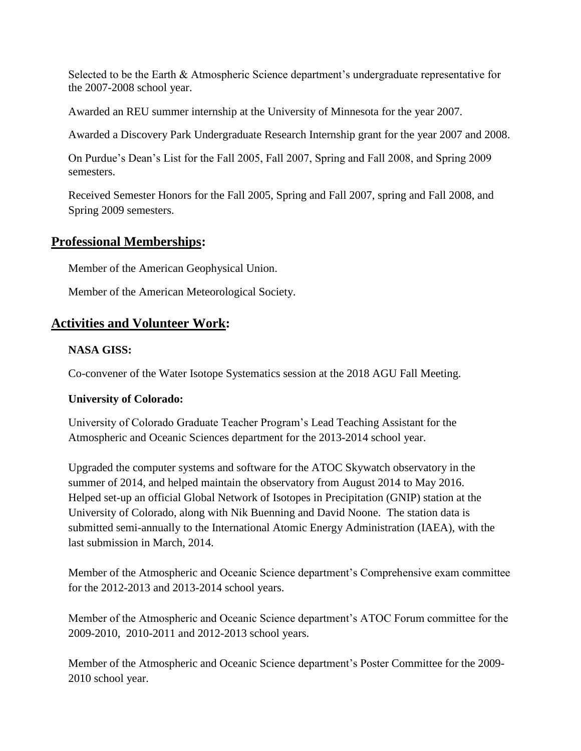Selected to be the Earth & Atmospheric Science department's undergraduate representative for the 2007-2008 school year.

Awarded an REU summer internship at the University of Minnesota for the year 2007.

Awarded a Discovery Park Undergraduate Research Internship grant for the year 2007 and 2008.

On Purdue's Dean's List for the Fall 2005, Fall 2007, Spring and Fall 2008, and Spring 2009 semesters.

Received Semester Honors for the Fall 2005, Spring and Fall 2007, spring and Fall 2008, and Spring 2009 semesters.

# **Professional Memberships:**

Member of the American Geophysical Union.

Member of the American Meteorological Society.

# **Activities and Volunteer Work:**

## **NASA GISS:**

Co-convener of the Water Isotope Systematics session at the 2018 AGU Fall Meeting.

# **University of Colorado:**

University of Colorado Graduate Teacher Program's Lead Teaching Assistant for the Atmospheric and Oceanic Sciences department for the 2013-2014 school year.

Upgraded the computer systems and software for the ATOC Skywatch observatory in the summer of 2014, and helped maintain the observatory from August 2014 to May 2016. Helped set-up an official Global Network of Isotopes in Precipitation (GNIP) station at the University of Colorado, along with Nik Buenning and David Noone. The station data is submitted semi-annually to the International Atomic Energy Administration (IAEA), with the last submission in March, 2014.

Member of the Atmospheric and Oceanic Science department's Comprehensive exam committee for the 2012-2013 and 2013-2014 school years.

Member of the Atmospheric and Oceanic Science department's ATOC Forum committee for the 2009-2010, 2010-2011 and 2012-2013 school years.

Member of the Atmospheric and Oceanic Science department's Poster Committee for the 2009- 2010 school year.